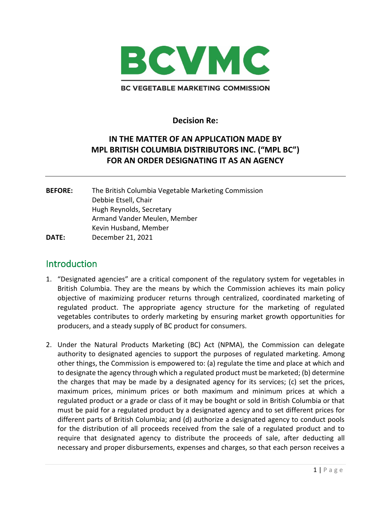

**Decision Re:** 

## **IN THE MATTER OF AN APPLICATION MADE BY MPL BRITISH COLUMBIA DISTRIBUTORS INC. ("MPL BC") FOR AN ORDER DESIGNATING IT AS AN AGENCY**

**BEFORE:** The British Columbia Vegetable Marketing Commission Debbie Etsell, Chair Hugh Reynolds, Secretary Armand Vander Meulen, Member Kevin Husband, Member **DATE:** December 21, 2021

## **Introduction**

- 1. "Designated agencies" are a critical component of the regulatory system for vegetables in British Columbia. They are the means by which the Commission achieves its main policy objective of maximizing producer returns through centralized, coordinated marketing of regulated product. The appropriate agency structure for the marketing of regulated vegetables contributes to orderly marketing by ensuring market growth opportunities for producers, and a steady supply of BC product for consumers.
- 2. Under the Natural Products Marketing (BC) Act (NPMA), the Commission can delegate authority to designated agencies to support the purposes of regulated marketing. Among other things, the Commission is empowered to: (a) regulate the time and place at which and to designate the agency through which a regulated product must be marketed; (b) determine the charges that may be made by a designated agency for its services; (c) set the prices, maximum prices, minimum prices or both maximum and minimum prices at which a regulated product or a grade or class of it may be bought or sold in British Columbia or that must be paid for a regulated product by a designated agency and to set different prices for different parts of British Columbia; and (d) authorize a designated agency to conduct pools for the distribution of all proceeds received from the sale of a regulated product and to require that designated agency to distribute the proceeds of sale, after deducting all necessary and proper disbursements, expenses and charges, so that each person receives a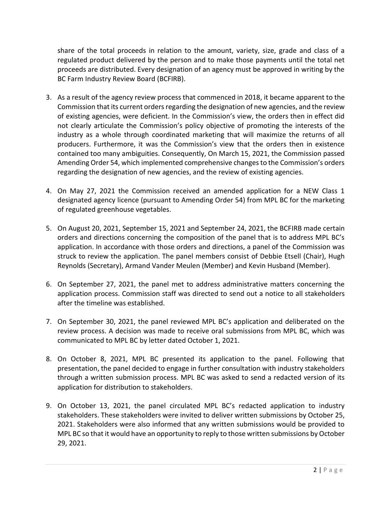share of the total proceeds in relation to the amount, variety, size, grade and class of a regulated product delivered by the person and to make those payments until the total net proceeds are distributed. Every designation of an agency must be approved in writing by the BC Farm Industry Review Board (BCFIRB).

- 3. As a result of the agency review process that commenced in 2018, it became apparent to the Commission that its current orders regarding the designation of new agencies, and the review of existing agencies, were deficient. In the Commission's view, the orders then in effect did not clearly articulate the Commission's policy objective of promoting the interests of the industry as a whole through coordinated marketing that will maximize the returns of all producers. Furthermore, it was the Commission's view that the orders then in existence contained too many ambiguities. Consequently, On March 15, 2021, the Commission passed Amending Order 54, which implemented comprehensive changes to the Commission's orders regarding the designation of new agencies, and the review of existing agencies.
- 4. On May 27, 2021 the Commission received an amended application for a NEW Class 1 designated agency licence (pursuant to Amending Order 54) from MPL BC for the marketing of regulated greenhouse vegetables.
- 5. On August 20, 2021, September 15, 2021 and September 24, 2021, the BCFIRB made certain orders and directions concerning the composition of the panel that is to address MPL BC's application. In accordance with those orders and directions, a panel of the Commission was struck to review the application. The panel members consist of Debbie Etsell (Chair), Hugh Reynolds (Secretary), Armand Vander Meulen (Member) and Kevin Husband (Member).
- 6. On September 27, 2021, the panel met to address administrative matters concerning the application process. Commission staff was directed to send out a notice to all stakeholders after the timeline was established.
- 7. On September 30, 2021, the panel reviewed MPL BC's application and deliberated on the review process. A decision was made to receive oral submissions from MPL BC, which was communicated to MPL BC by letter dated October 1, 2021.
- 8. On October 8, 2021, MPL BC presented its application to the panel. Following that presentation, the panel decided to engage in further consultation with industry stakeholders through a written submission process. MPL BC was asked to send a redacted version of its application for distribution to stakeholders.
- 9. On October 13, 2021, the panel circulated MPL BC's redacted application to industry stakeholders. These stakeholders were invited to deliver written submissions by October 25, 2021. Stakeholders were also informed that any written submissions would be provided to MPL BC so that it would have an opportunity to reply to those written submissions by October 29, 2021.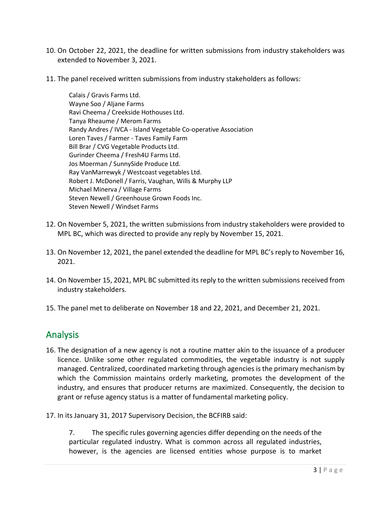- 10. On October 22, 2021, the deadline for written submissions from industry stakeholders was extended to November 3, 2021.
- 11. The panel received written submissions from industry stakeholders as follows:

Calais / Gravis Farms Ltd. Wayne Soo / Aljane Farms Ravi Cheema / Creekside Hothouses Ltd. Tanya Rheaume / Merom Farms Randy Andres / IVCA - Island Vegetable Co-operative Association Loren Taves / Farmer - Taves Family Farm Bill Brar / CVG Vegetable Products Ltd. Gurinder Cheema / Fresh4U Farms Ltd. Jos Moerman / SunnySide Produce Ltd. Ray VanMarrewyk / Westcoast vegetables Ltd. Robert J. McDonell / Farris, Vaughan, Wills & Murphy LLP Michael Minerva / Village Farms Steven Newell / Greenhouse Grown Foods Inc. Steven Newell / Windset Farms

- 12. On November 5, 2021, the written submissions from industry stakeholders were provided to MPL BC, which was directed to provide any reply by November 15, 2021.
- 13. On November 12, 2021, the panel extended the deadline for MPL BC's reply to November 16, 2021.
- 14. On November 15, 2021, MPL BC submitted its reply to the written submissions received from industry stakeholders.
- 15. The panel met to deliberate on November 18 and 22, 2021, and December 21, 2021.

## Analysis

- 16. The designation of a new agency is not a routine matter akin to the issuance of a producer licence. Unlike some other regulated commodities, the vegetable industry is not supply managed. Centralized, coordinated marketing through agencies is the primary mechanism by which the Commission maintains orderly marketing, promotes the development of the industry, and ensures that producer returns are maximized. Consequently, the decision to grant or refuse agency status is a matter of fundamental marketing policy.
- 17. In its January 31, 2017 Supervisory Decision, the BCFIRB said:

7. The specific rules governing agencies differ depending on the needs of the particular regulated industry. What is common across all regulated industries, however, is the agencies are licensed entities whose purpose is to market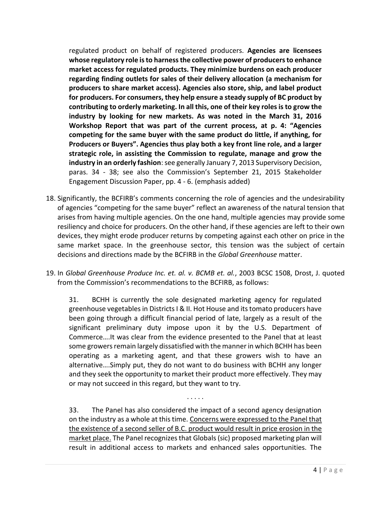regulated product on behalf of registered producers. **Agencies are licensees whose regulatory role is to harness the collective power of producers to enhance market access for regulated products. They minimize burdens on each producer regarding finding outlets for sales of their delivery allocation (a mechanism for producers to share market access). Agencies also store, ship, and label product for producers. For consumers, they help ensure a steady supply of BC product by contributing to orderly marketing. In all this, one of their key roles is to grow the industry by looking for new markets. As was noted in the March 31, 2016 Workshop Report that was part of the current process, at p. 4: "Agencies competing for the same buyer with the same product do little, if anything, for Producers or Buyers". Agencies thus play both a key front line role, and a larger strategic role, in assisting the Commission to regulate, manage and grow the industry in an orderly fashion**: see generally January 7, 2013 Supervisory Decision, paras. 34 - 38; see also the Commission's September 21, 2015 Stakeholder Engagement Discussion Paper, pp. 4 - 6. (emphasis added)

- 18. Significantly, the BCFIRB's comments concerning the role of agencies and the undesirability of agencies "competing for the same buyer" reflect an awareness of the natural tension that arises from having multiple agencies. On the one hand, multiple agencies may provide some resiliency and choice for producers. On the other hand, if these agencies are left to their own devices, they might erode producer returns by competing against each other on price in the same market space. In the greenhouse sector, this tension was the subject of certain decisions and directions made by the BCFIRB in the *Global Greenhouse* matter.
- 19. In *Global Greenhouse Produce Inc. et. al. v. BCMB et. al.*, 2003 BCSC 1508, Drost, J. quoted from the Commission's recommendations to the BCFIRB, as follows:

31. BCHH is currently the sole designated marketing agency for regulated greenhouse vegetables in Districts I & II. Hot House and its tomato producers have been going through a difficult financial period of late, largely as a result of the significant preliminary duty impose upon it by the U.S. Department of Commerce….It was clear from the evidence presented to the Panel that at least some growers remain largely dissatisfied with the manner in which BCHH has been operating as a marketing agent, and that these growers wish to have an alternative….Simply put, they do not want to do business with BCHH any longer and they seek the opportunity to market their product more effectively. They may or may not succeed in this regard, but they want to try.

33. The Panel has also considered the impact of a second agency designation on the industry as a whole at this time. Concerns were expressed to the Panel that the existence of a second seller of B.C. product would result in price erosion in the market place. The Panel recognizes that Globals (sic) proposed marketing plan will result in additional access to markets and enhanced sales opportunities. The

. . . . .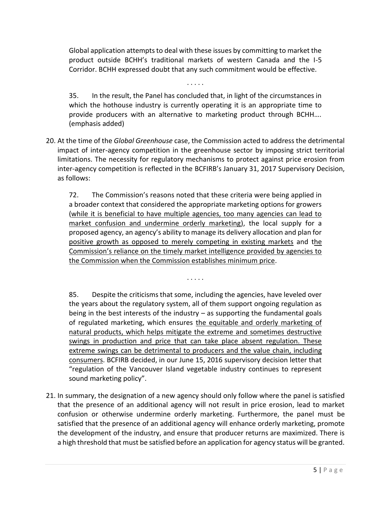Global application attempts to deal with these issues by committing to market the product outside BCHH's traditional markets of western Canada and the I-5 Corridor. BCHH expressed doubt that any such commitment would be effective.

. . . . .

35. In the result, the Panel has concluded that, in light of the circumstances in which the hothouse industry is currently operating it is an appropriate time to provide producers with an alternative to marketing product through BCHH…. (emphasis added)

20. At the time of the *Global Greenhouse* case, the Commission acted to address the detrimental impact of inter-agency competition in the greenhouse sector by imposing strict territorial limitations. The necessity for regulatory mechanisms to protect against price erosion from inter-agency competition is reflected in the BCFIRB's January 31, 2017 Supervisory Decision, as follows:

72. The Commission's reasons noted that these criteria were being applied in a broader context that considered the appropriate marketing options for growers (while it is beneficial to have multiple agencies, too many agencies can lead to market confusion and undermine orderly marketing), the local supply for a proposed agency, an agency's ability to manage its delivery allocation and plan for positive growth as opposed to merely competing in existing markets and the Commission's reliance on the timely market intelligence provided by agencies to the Commission when the Commission establishes minimum price.

. . . . .

85. Despite the criticisms that some, including the agencies, have leveled over the years about the regulatory system, all of them support ongoing regulation as being in the best interests of the industry – as supporting the fundamental goals of regulated marketing, which ensures the equitable and orderly marketing of natural products, which helps mitigate the extreme and sometimes destructive swings in production and price that can take place absent regulation. These extreme swings can be detrimental to producers and the value chain, including consumers. BCFIRB decided, in our June 15, 2016 supervisory decision letter that "regulation of the Vancouver Island vegetable industry continues to represent sound marketing policy".

21. In summary, the designation of a new agency should only follow where the panel is satisfied that the presence of an additional agency will not result in price erosion, lead to market confusion or otherwise undermine orderly marketing. Furthermore, the panel must be satisfied that the presence of an additional agency will enhance orderly marketing, promote the development of the industry, and ensure that producer returns are maximized. There is a high threshold that must be satisfied before an application for agency status will be granted.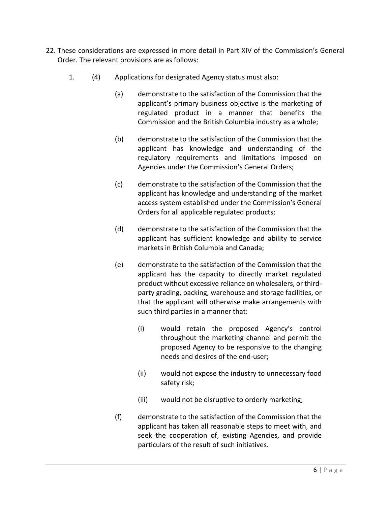- 22. These considerations are expressed in more detail in Part XIV of the Commission's General Order. The relevant provisions are as follows:
	- 1. (4) Applications for designated Agency status must also:
		- (a) demonstrate to the satisfaction of the Commission that the applicant's primary business objective is the marketing of regulated product in a manner that benefits the Commission and the British Columbia industry as a whole;
		- (b) demonstrate to the satisfaction of the Commission that the applicant has knowledge and understanding of the regulatory requirements and limitations imposed on Agencies under the Commission's General Orders;
		- (c) demonstrate to the satisfaction of the Commission that the applicant has knowledge and understanding of the market access system established under the Commission's General Orders for all applicable regulated products;
		- (d) demonstrate to the satisfaction of the Commission that the applicant has sufficient knowledge and ability to service markets in British Columbia and Canada;
		- (e) demonstrate to the satisfaction of the Commission that the applicant has the capacity to directly market regulated product without excessive reliance on wholesalers, or thirdparty grading, packing, warehouse and storage facilities, or that the applicant will otherwise make arrangements with such third parties in a manner that:
			- (i) would retain the proposed Agency's control throughout the marketing channel and permit the proposed Agency to be responsive to the changing needs and desires of the end-user;
			- (ii) would not expose the industry to unnecessary food safety risk;
			- (iii) would not be disruptive to orderly marketing;
		- (f) demonstrate to the satisfaction of the Commission that the applicant has taken all reasonable steps to meet with, and seek the cooperation of, existing Agencies, and provide particulars of the result of such initiatives.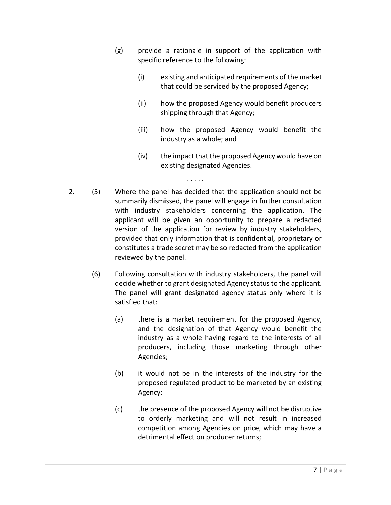- (g) provide a rationale in support of the application with specific reference to the following:
	- (i) existing and anticipated requirements of the market that could be serviced by the proposed Agency;
	- (ii) how the proposed Agency would benefit producers shipping through that Agency;
	- (iii) how the proposed Agency would benefit the industry as a whole; and
	- (iv) the impact that the proposed Agency would have on existing designated Agencies.

. . . . .

- 2. (5) Where the panel has decided that the application should not be summarily dismissed, the panel will engage in further consultation with industry stakeholders concerning the application. The applicant will be given an opportunity to prepare a redacted version of the application for review by industry stakeholders, provided that only information that is confidential, proprietary or constitutes a trade secret may be so redacted from the application reviewed by the panel.
	- (6) Following consultation with industry stakeholders, the panel will decide whether to grant designated Agency status to the applicant. The panel will grant designated agency status only where it is satisfied that:
		- (a) there is a market requirement for the proposed Agency, and the designation of that Agency would benefit the industry as a whole having regard to the interests of all producers, including those marketing through other Agencies;
		- (b) it would not be in the interests of the industry for the proposed regulated product to be marketed by an existing Agency;
		- (c) the presence of the proposed Agency will not be disruptive to orderly marketing and will not result in increased competition among Agencies on price, which may have a detrimental effect on producer returns;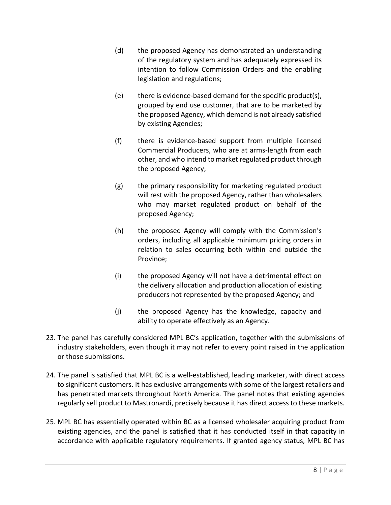- (d) the proposed Agency has demonstrated an understanding of the regulatory system and has adequately expressed its intention to follow Commission Orders and the enabling legislation and regulations;
- (e) there is evidence-based demand for the specific product(s), grouped by end use customer, that are to be marketed by the proposed Agency, which demand is not already satisfied by existing Agencies;
- (f) there is evidence-based support from multiple licensed Commercial Producers, who are at arms-length from each other, and who intend to market regulated product through the proposed Agency;
- (g) the primary responsibility for marketing regulated product will rest with the proposed Agency, rather than wholesalers who may market regulated product on behalf of the proposed Agency;
- (h) the proposed Agency will comply with the Commission's orders, including all applicable minimum pricing orders in relation to sales occurring both within and outside the Province;
- (i) the proposed Agency will not have a detrimental effect on the delivery allocation and production allocation of existing producers not represented by the proposed Agency; and
- (j) the proposed Agency has the knowledge, capacity and ability to operate effectively as an Agency.
- 23. The panel has carefully considered MPL BC's application, together with the submissions of industry stakeholders, even though it may not refer to every point raised in the application or those submissions.
- 24. The panel is satisfied that MPL BC is a well-established, leading marketer, with direct access to significant customers. It has exclusive arrangements with some of the largest retailers and has penetrated markets throughout North America. The panel notes that existing agencies regularly sell product to Mastronardi, precisely because it has direct access to these markets.
- 25. MPL BC has essentially operated within BC as a licensed wholesaler acquiring product from existing agencies, and the panel is satisfied that it has conducted itself in that capacity in accordance with applicable regulatory requirements. If granted agency status, MPL BC has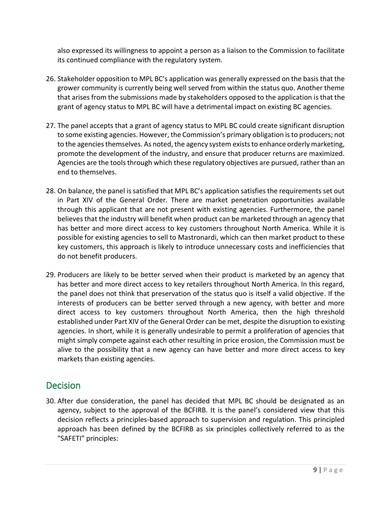also expressed its willingness to appoint a person as a liaison to the Commission to facilitate its continued compliance with the regulatory system.

- 26. Stakeholder opposition to MPL BC's application was generally expressed on the basis that the grower community is currently being well served from within the status quo. Another theme that arises from the submissions made by stakeholders opposed to the application is that the grant of agency status to MPL BC will have a detrimental impact on existing BC agencies.
- 27. The panel accepts that a grant of agency status to MPL BC could create significant disruption to some existing agencies. However, the Commission's primary obligation is to producers; not to the agencies themselves. As noted, the agency system exists to enhance orderly marketing, promote the development of the industry, and ensure that producer returns are maximized. Agencies are the tools through which these regulatory objectives are pursued, rather than an end to themselves.
- 28. On balance, the panel is satisfied that MPL BC's application satisfies the requirements set out in Part XIV of the General Order. There are market penetration opportunities available through this applicant that are not present with existing agencies. Furthermore, the panel believes that the industry will benefit when product can be marketed through an agency that has better and more direct access to key customers throughout North America. While it is possible for existing agencies to sell to Mastronardi, which can then market product to these key customers, this approach is likely to introduce unnecessary costs and inefficiencies that do not benefit producers.
- 29. Producers are likely to be better served when their product is marketed by an agency that has better and more direct access to key retailers throughout North America. In this regard, the panel does not think that preservation of the status quo is itself a valid objective. If the interests of producers can be better served through a new agency, with better and more direct access to key customers throughout North America, then the high threshold established under Part XIV of the General Order can be met, despite the disruption to existing agencies. In short, while it is generally undesirable to permit a proliferation of agencies that might simply compete against each other resulting in price erosion, the Commission must be alive to the possibility that a new agency can have better and more direct access to key markets than existing agencies.

## **Decision**

30. After due consideration, the panel has decided that MPL BC should be designated as an agency, subject to the approval of the BCFIRB. It is the panel's considered view that this decision reflects a principles-based approach to supervision and regulation. This principled approach has been defined by the BCFIRB as six principles collectively referred to as the "SAFETI" principles: